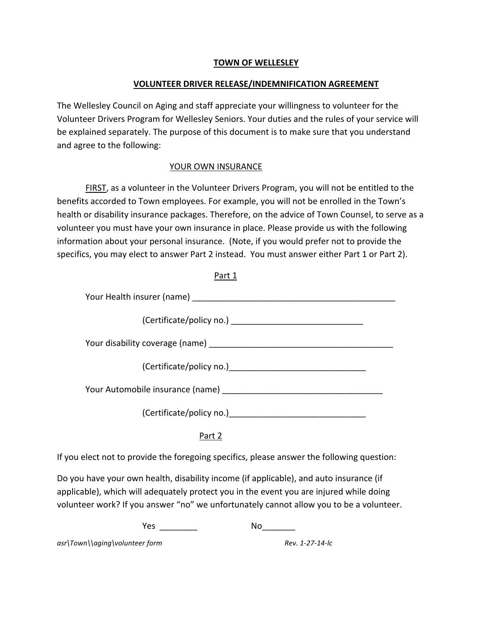## **TOWN OF WELLESLEY**

## **VOLUNTEER DRIVER RELEASE/INDEMNIFICATION AGREEMENT**

The Wellesley Council on Aging and staff appreciate your willingness to volunteer for the Volunteer Drivers Program for Wellesley Seniors. Your duties and the rules of your service will be explained separately. The purpose of this document is to make sure that you understand and agree to the following:

## YOUR OWN INSURANCE

FIRST, as a volunteer in the Volunteer Drivers Program, you will not be entitled to the benefits accorded to Town employees. For example, you will not be enrolled in the Town's health or disability insurance packages. Therefore, on the advice of Town Counsel, to serve as a volunteer you must have your own insurance in place. Please provide us with the following information about your personal insurance. (Note, if you would prefer not to provide the specifics, you may elect to answer Part 2 instead. You must answer either Part 1 or Part 2).

Part 1

If you elect not to provide the foregoing specifics, please answer the following question:

Part 2

Do you have your own health, disability income (if applicable), and auto insurance (if applicable), which will adequately protect you in the event you are injured while doing volunteer work? If you answer "no" we unfortunately cannot allow you to be a volunteer.

Yes!!\_\_\_\_\_\_\_\_!!!!!!!!!!!!!!!!!!!!!!!!!No\_\_\_\_\_\_\_

asr\Town\\aging\volunteer form *Rev. 1-27-14-lc*